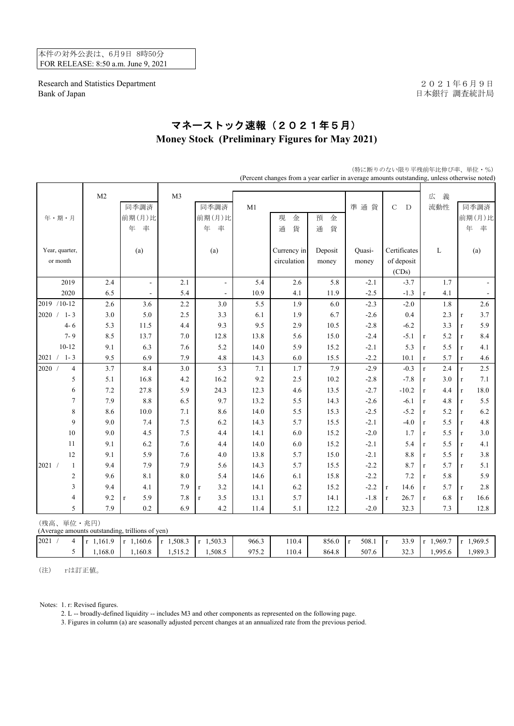本件の対外公表は、6月9日 8時50分 FOR RELEASE: 8:50 a.m. June 9, 2021

Research and Statistics Department 2021年6月9日 Bank of Japan <br>
日本銀行 調査統計局

## マネーストック速報(2021年5月) **Money Stock (Preliminary Figures for May 2021)**

| (Percent changes from a year earlier in average amounts outstanding, unless otherwise noted) |                |                |                     |                |                     |       |             |         |                       |                            |                     |                        |
|----------------------------------------------------------------------------------------------|----------------|----------------|---------------------|----------------|---------------------|-------|-------------|---------|-----------------------|----------------------------|---------------------|------------------------|
|                                                                                              |                |                |                     |                |                     |       |             |         |                       |                            |                     |                        |
|                                                                                              |                | M <sub>2</sub> |                     | M <sub>3</sub> |                     |       |             |         |                       |                            | 義<br>広              |                        |
|                                                                                              |                |                | 同季調済                |                | 同季調済                | M1    |             |         | 準通貨                   | $\mathbf C$<br>$\mathbf D$ | 流動性                 | 同季調済                   |
| 年・期・月                                                                                        |                |                | 前期(月)比              |                | 前期(月)比              |       | 現<br>金      | 預<br>金  |                       |                            |                     | 前期(月)比                 |
|                                                                                              |                |                | 年<br>率              |                | 年<br>率              |       | 貨<br>通      | 貨<br>通  |                       |                            |                     | 年<br>率                 |
| Year, quarter,                                                                               |                |                | (a)                 |                | (a)                 |       | Currency in | Deposit | Quasi-                | Certificates               | L                   | (a)                    |
| or month                                                                                     |                |                |                     |                |                     |       | circulation | money   | money                 | of deposit                 |                     |                        |
|                                                                                              |                |                |                     |                |                     |       |             |         |                       | (CDs)                      |                     |                        |
|                                                                                              | 2019           | 2.4            | $\blacksquare$      | 2.1            |                     | 5.4   | $2.6\,$     | 5.8     | $-2.1$                | $-3.7$                     | 1.7                 |                        |
|                                                                                              | 2020           | 6.5            |                     | 5.4            |                     | 10.9  | 4.1         | 11.9    | $-2.5$                | $-1.3$                     | 4.1<br>$\mathbf{r}$ |                        |
| 2019 /10-12                                                                                  |                | 2.6            | 3.6                 | 2.2            | 3.0                 | 5.5   | 1.9         | 6.0     | $-2.3$                | $-2.0$                     | $1.8\,$             | 2.6                    |
| 2020 /                                                                                       | $1 - 3$        | 3.0            | 5.0                 | 2.5            | 3.3                 | 6.1   | 1.9         | 6.7     | $-2.6$                | 0.4                        | 2.3                 | 3.7<br>$\mathbf r$     |
|                                                                                              | $4 - 6$        | 5.3            | 11.5                | 4.4            | 9.3                 | 9.5   | 2.9         | 10.5    | $-2.8$                | $-6.2$                     | 3.3                 | 5.9<br>$\mathbf r$     |
|                                                                                              | $7 - 9$        | 8.5            | 13.7                | $7.0\,$        | 12.8                | 13.8  | 5.6         | 15.0    | $-2.4$                | $-5.1$                     | 5.2<br>$\mathbf r$  | 8.4<br>r               |
|                                                                                              | $10-12$        | 9.1            | 6.3                 | 7.6            | 5.2                 | 14.0  | 5.9         | 15.2    | $-2.1$                | 5.3                        | 5.5<br>$\mathbf r$  | 4.1<br>$\mathbf r$     |
| $2021 / 1 - 3$                                                                               |                | 9.5            | 6.9                 | 7.9            | 4.8                 | 14.3  | 6.0         | 15.5    | $-2.2$                | 10.1                       | 5.7<br>$\mathbf r$  | 4.6<br>$\mathbf r$     |
| 2020 /                                                                                       | $\overline{4}$ | 3.7            | 8.4                 | 3.0            | 5.3                 | 7.1   | 1.7         | 7.9     | $-2.9$                | $-0.3$                     | 2.4<br>$\mathbf{r}$ | 2.5<br>$\mathbf{r}$    |
|                                                                                              | 5              | 5.1            | 16.8                | 4.2            | 16.2                | 9.2   | $2.5\,$     | 10.2    | $-2.8$                | $-7.8$                     | 3.0<br>r            | 7.1<br>$\mathbf r$     |
|                                                                                              | $\epsilon$     | 7.2            | 27.8                | 5.9            | 24.3                | 12.3  | 4.6         | 13.5    | $-2.7$                | $-10.2$                    | 4.4<br>$\mathbf{r}$ | 18.0<br>$\mathbf r$    |
|                                                                                              | $\tau$         | 7.9            | 8.8                 | 6.5            | 9.7                 | 13.2  | 5.5         | 14.3    | $-2.6$                | $-6.1$                     | 4.8<br>r            | 5.5<br>$\mathbf r$     |
|                                                                                              | $\,$ 8 $\,$    | 8.6            | 10.0                | 7.1            | 8.6                 | 14.0  | 5.5         | 15.3    | $-2.5$                | $-5.2$                     | 5.2<br>r            | 6.2<br>$\mathbf r$     |
|                                                                                              | 9              | 9.0            | 7.4                 | 7.5            | 6.2                 | 14.3  | 5.7         | 15.5    | $-2.1$                | $-4.0$                     | 5.5<br>$\mathbf r$  | $4.8\,$<br>$\mathbf r$ |
|                                                                                              | $10\,$         | $9.0\,$        | 4.5                 | $7.5$          | 4.4                 | 14.1  | 6.0         | 15.2    | $-2.0$                | 1.7                        | 5.5<br>$\mathbf r$  | $3.0\,$<br>$\mathbf r$ |
|                                                                                              | 11             | 9.1            | 6.2                 | 7.6            | 4.4                 | 14.0  | 6.0         | 15.2    | $-2.1$                | 5.4                        | 5.5<br>$\mathbf r$  | 4.1<br>$\mathbf r$     |
|                                                                                              | 12             | 9.1            | 5.9                 | 7.6            | 4.0                 | 13.8  | 5.7         | 15.0    | $-2.1$                | 8.8                        | 5.5<br>$\mathbf{r}$ | 3.8<br>$\mathbf r$     |
| 2021 /                                                                                       | $\mathbf{1}$   | 9.4            | 7.9                 | 7.9            | 5.6                 | 14.3  | 5.7         | 15.5    | $-2.2$                | 8.7                        | 5.7<br>$\mathbf{r}$ | 5.1<br>$\mathbf{r}$    |
|                                                                                              | $\mathfrak{2}$ | 9.6            | 8.1                 | $\ \ 8.0$      | 5.4                 | 14.6  | 6.1         | 15.8    | $-2.2$                | 7.2                        | 5.8<br>r            | 5.9                    |
|                                                                                              | 3              | 9.4            | 4.1                 | 7.9            | 3.2<br>$\mathbf r$  | 14.1  | 6.2         | 15.2    | $-2.2$                | 14.6<br>$\mathbf{r}$       | 5.7<br>r            | $2.8\,$<br>$\mathbf r$ |
|                                                                                              | $\overline{4}$ | 9.2            | 5.9<br>$\mathbf{r}$ | 7.8            | 3.5<br>$\mathbf{r}$ | 13.1  | 5.7         | 14.1    | $-1.8$                | 26.7<br>$\mathbf{r}$       | 6.8<br>r            | 16.6<br>$\mathbf r$    |
|                                                                                              | 5              | 7.9            | $0.2\,$             | 6.9            | 4.2                 | 11.4  | 5.1         | 12.2    | $-2.0$                | 32.3                       | 7.3                 | 12.8                   |
| (残高、単位·兆円)<br>(Average amounts outstanding, trillions of yen)                                |                |                |                     |                |                     |       |             |         |                       |                            |                     |                        |
| 2021 /                                                                                       | $\overline{4}$ | $r$ 1,161.9    | $r$ 1,160.6         | $r$ 1,508.3    | $r$ 1,503.3         | 966.3 | 110.4       | 856.0   | 508.1<br>$\mathbf{r}$ | 33.9<br>$\mathbf{r}$       | $r$ 1,969.7         | $r$ 1,969.5            |
|                                                                                              | 5              | 1,168.0        | 1,160.8             | 1,515.2        | 1,508.5             | 975.2 | 110.4       | 864.8   | 507.6                 | 32.3                       | 1,995.6             | 1,989.3                |

(特に断りのない限り平残前年比伸び率、単位・%)

(注) rは訂正値。

Notes: 1. r: Revised figures.

2. L -- broadly-defined liquidity -- includes M3 and other components as represented on the following page.

3. Figures in column (a) are seasonally adjusted percent changes at an annualized rate from the previous period.